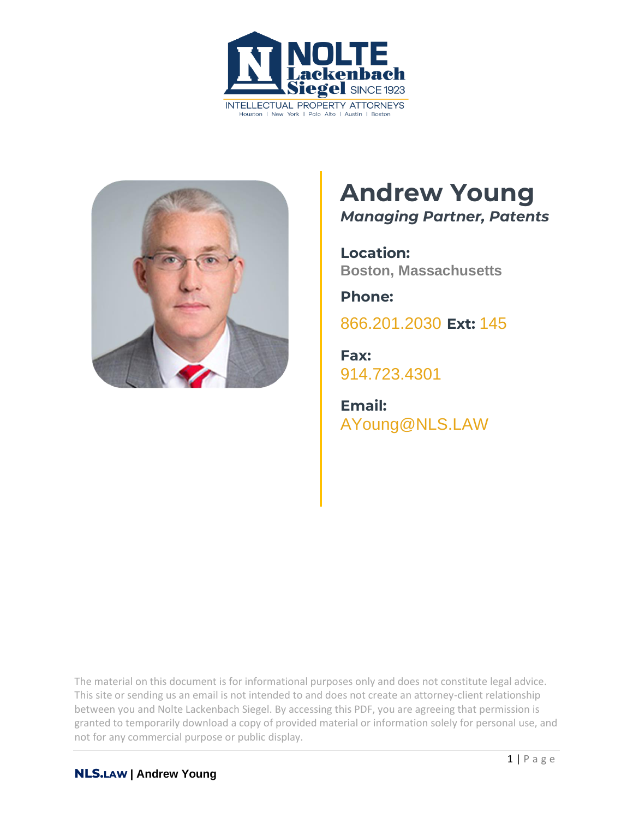



# **Andrew Young** *Managing Partner, Patents*

**Location: Boston, Massachusetts**

**Phone:** [866.201.2030](tel:+1942629223) **Ext:** 145

**Fax:** [914.723.4301](tel:+19147234301)

**Email:** [AYoung@NLS.LAW](mailto:ayoung@nls.law)

The material on this document is for informational purposes only and does not constitute legal advice. This site or sending us an email is not intended to and does not create an attorney-client relationship between you and Nolte Lackenbach Siegel. By accessing this PDF, you are agreeing that permission is granted to temporarily download a copy of provided material or information solely for personal use, and not for any commercial purpose or public display.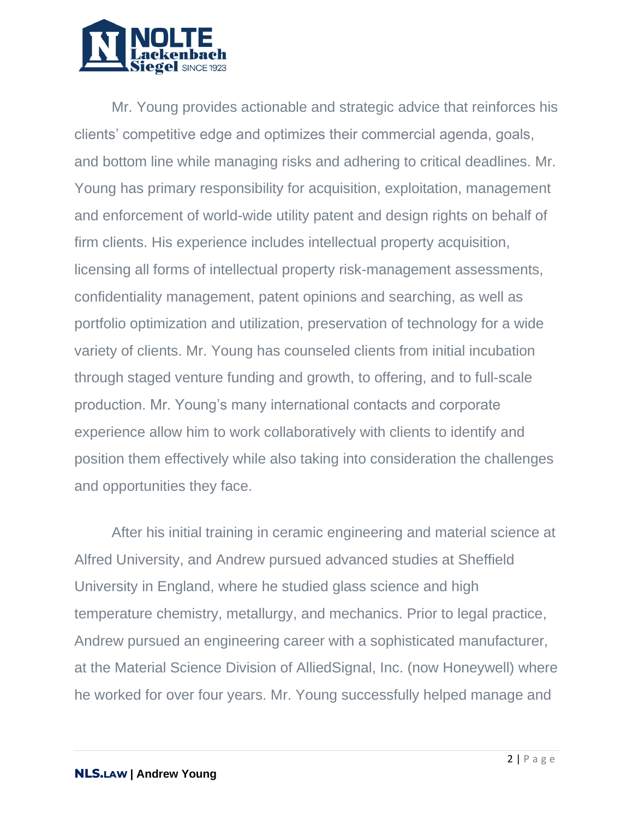

Mr. Young provides actionable and strategic advice that reinforces his clients' competitive edge and optimizes their commercial agenda, goals, and bottom line while managing risks and adhering to critical deadlines. Mr. Young has primary responsibility for acquisition, exploitation, management and enforcement of world-wide utility patent and design rights on behalf of firm clients. His experience includes intellectual property acquisition, licensing all forms of intellectual property risk-management assessments, confidentiality management, patent opinions and searching, as well as portfolio optimization and utilization, preservation of technology for a wide variety of clients. Mr. Young has counseled clients from initial incubation through staged venture funding and growth, to offering, and to full-scale production. Mr. Young's many international contacts and corporate experience allow him to work collaboratively with clients to identify and position them effectively while also taking into consideration the challenges and opportunities they face.

After his initial training in ceramic engineering and material science at Alfred University, and Andrew pursued advanced studies at Sheffield University in England, where he studied glass science and high temperature chemistry, metallurgy, and mechanics. Prior to legal practice, Andrew pursued an engineering career with a sophisticated manufacturer, at the Material Science Division of AlliedSignal, Inc. (now Honeywell) where he worked for over four years. Mr. Young successfully helped manage and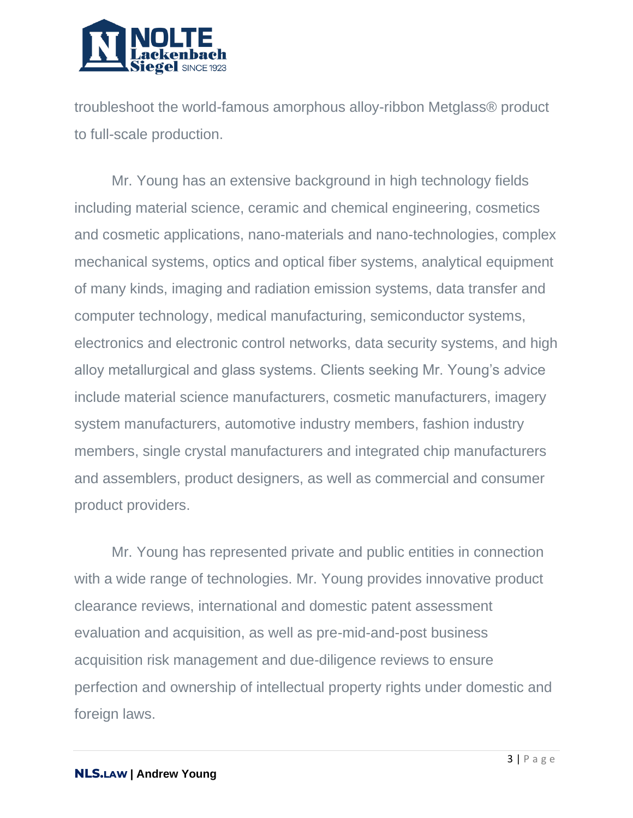

troubleshoot the world-famous amorphous alloy-ribbon Metglass® product to full-scale production.

Mr. Young has an extensive background in high technology fields including material science, ceramic and chemical engineering, cosmetics and cosmetic applications, nano-materials and nano-technologies, complex mechanical systems, optics and optical fiber systems, analytical equipment of many kinds, imaging and radiation emission systems, data transfer and computer technology, medical manufacturing, semiconductor systems, electronics and electronic control networks, data security systems, and high alloy metallurgical and glass systems. Clients seeking Mr. Young's advice include material science manufacturers, cosmetic manufacturers, imagery system manufacturers, automotive industry members, fashion industry members, single crystal manufacturers and integrated chip manufacturers and assemblers, product designers, as well as commercial and consumer product providers.

Mr. Young has represented private and public entities in connection with a wide range of technologies. Mr. Young provides innovative product clearance reviews, international and domestic patent assessment evaluation and acquisition, as well as pre-mid-and-post business acquisition risk management and due-diligence reviews to ensure perfection and ownership of intellectual property rights under domestic and foreign laws.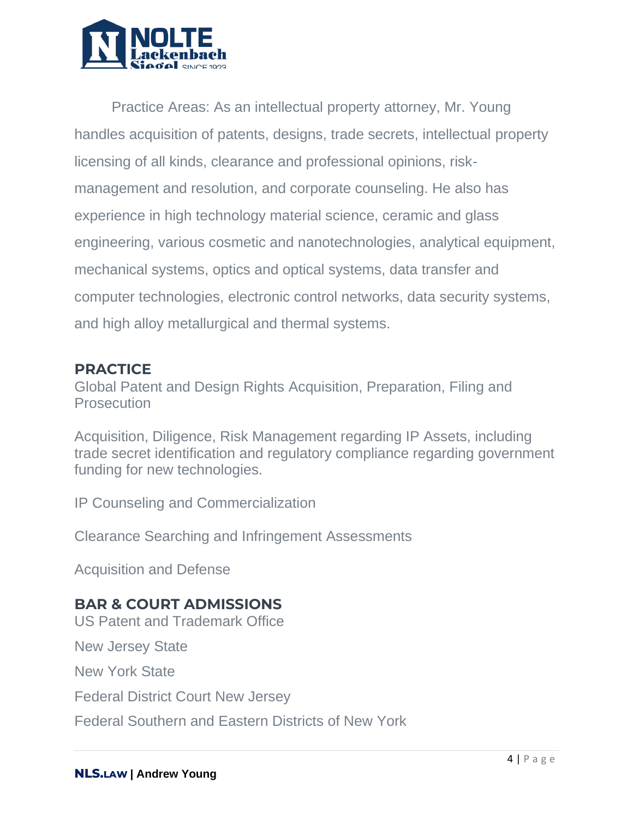

Practice Areas: As an intellectual property attorney, Mr. Young handles acquisition of patents, designs, trade secrets, intellectual property licensing of all kinds, clearance and professional opinions, riskmanagement and resolution, and corporate counseling. He also has experience in high technology material science, ceramic and glass engineering, various cosmetic and nanotechnologies, analytical equipment, mechanical systems, optics and optical systems, data transfer and computer technologies, electronic control networks, data security systems, and high alloy metallurgical and thermal systems.

#### **PRACTICE**

Global Patent and Design Rights Acquisition, Preparation, Filing and **Prosecution** 

Acquisition, Diligence, Risk Management regarding IP Assets, including trade secret identification and regulatory compliance regarding government funding for new technologies.

IP Counseling and Commercialization

Clearance Searching and Infringement Assessments

Acquisition and Defense

### **BAR & COURT ADMISSIONS**

US Patent and Trademark Office

New Jersey State

New York State

Federal District Court New Jersey

Federal Southern and Eastern Districts of New York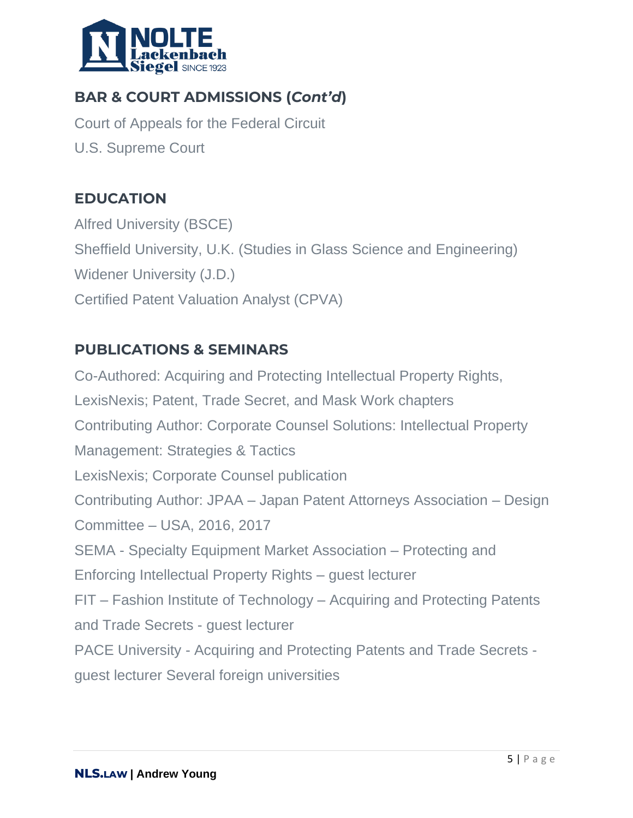

# **BAR & COURT ADMISSIONS (***Cont'd***)**

Court of Appeals for the Federal Circuit U.S. Supreme Court

### **EDUCATION**

Alfred University (BSCE) Sheffield University, U.K. (Studies in Glass Science and Engineering) Widener University (J.D.) Certified Patent Valuation Analyst (CPVA)

## **PUBLICATIONS & SEMINARS**

Co-Authored: Acquiring and Protecting Intellectual Property Rights, LexisNexis; Patent, Trade Secret, and Mask Work chapters Contributing Author: Corporate Counsel Solutions: Intellectual Property Management: Strategies & Tactics LexisNexis; Corporate Counsel publication Contributing Author: JPAA – Japan Patent Attorneys Association – Design Committee – USA, 2016, 2017 SEMA - Specialty Equipment Market Association – Protecting and Enforcing Intellectual Property Rights – guest lecturer FIT – Fashion Institute of Technology – Acquiring and Protecting Patents and Trade Secrets - guest lecturer PACE University - Acquiring and Protecting Patents and Trade Secrets guest lecturer Several foreign universities